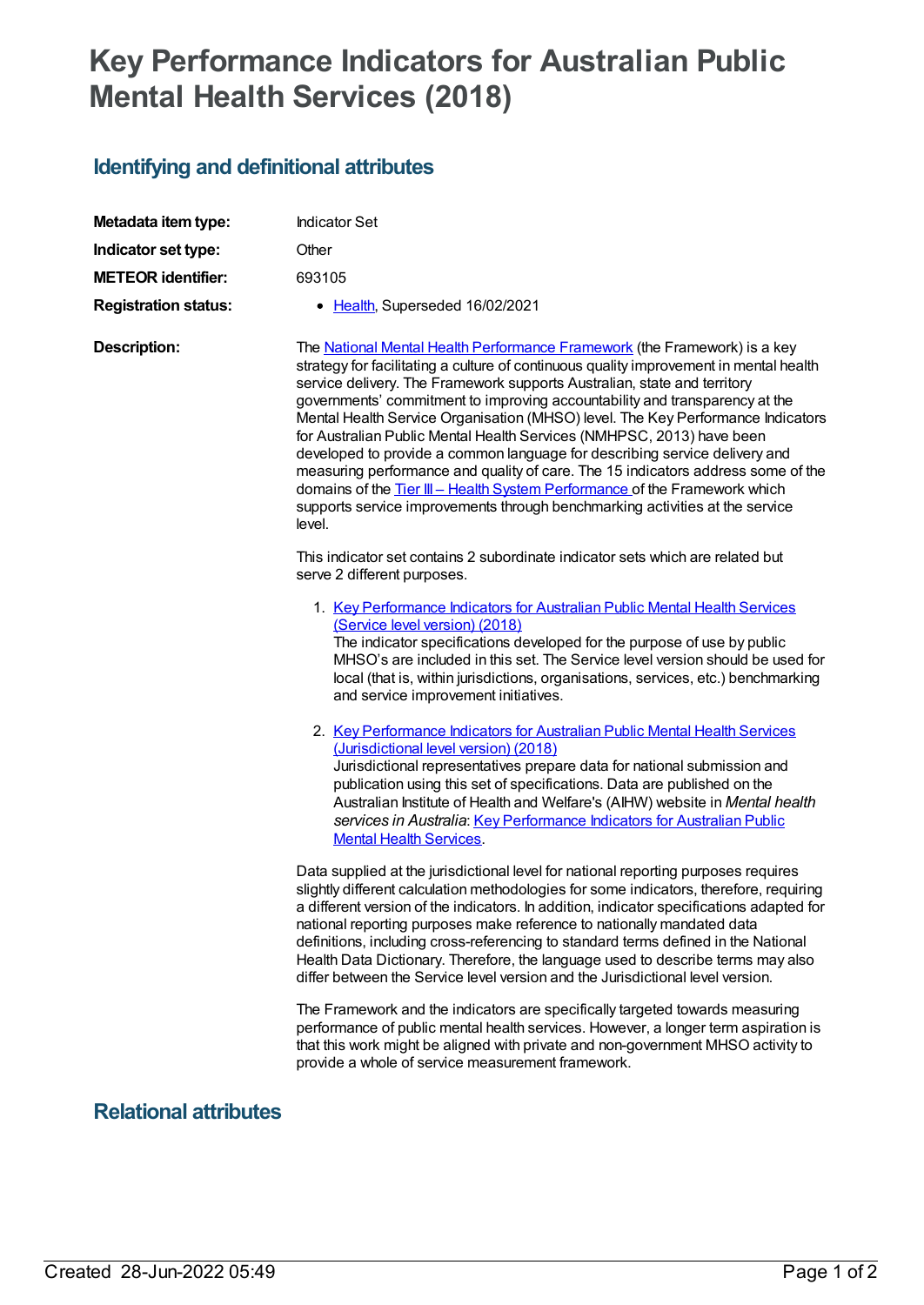## **Key Performance Indicators for Australian Public Mental Health Services (2018)**

## **Identifying and definitional attributes**

| Metadata item type:         | <b>Indicator Set</b>                                                                                                                                                                                                                                                                                                                                                                                                                                                                                                                                                                                                                                                                                                                                                                                                                        |
|-----------------------------|---------------------------------------------------------------------------------------------------------------------------------------------------------------------------------------------------------------------------------------------------------------------------------------------------------------------------------------------------------------------------------------------------------------------------------------------------------------------------------------------------------------------------------------------------------------------------------------------------------------------------------------------------------------------------------------------------------------------------------------------------------------------------------------------------------------------------------------------|
| Indicator set type:         | Other                                                                                                                                                                                                                                                                                                                                                                                                                                                                                                                                                                                                                                                                                                                                                                                                                                       |
| <b>METEOR identifier:</b>   | 693105                                                                                                                                                                                                                                                                                                                                                                                                                                                                                                                                                                                                                                                                                                                                                                                                                                      |
| <b>Registration status:</b> | • Health, Superseded 16/02/2021                                                                                                                                                                                                                                                                                                                                                                                                                                                                                                                                                                                                                                                                                                                                                                                                             |
| <b>Description:</b>         | The <b>National Mental Health Performance Framework</b> (the Framework) is a key<br>strategy for facilitating a culture of continuous quality improvement in mental health<br>service delivery. The Framework supports Australian, state and territory<br>governments' commitment to improving accountability and transparency at the<br>Mental Health Service Organisation (MHSO) level. The Key Performance Indicators<br>for Australian Public Mental Health Services (NMHPSC, 2013) have been<br>developed to provide a common language for describing service delivery and<br>measuring performance and quality of care. The 15 indicators address some of the<br>domains of the Tier III - Health System Performance of the Framework which<br>supports service improvements through benchmarking activities at the service<br>level. |
|                             | This indicator set contains 2 subordinate indicator sets which are related but<br>serve 2 different purposes.                                                                                                                                                                                                                                                                                                                                                                                                                                                                                                                                                                                                                                                                                                                               |
|                             | 1. Key Performance Indicators for Australian Public Mental Health Services<br>(Service level version) (2018)<br>The indicator specifications developed for the purpose of use by public<br>MHSO's are included in this set. The Service level version should be used for<br>local (that is, within jurisdictions, organisations, services, etc.) benchmarking<br>and service improvement initiatives.                                                                                                                                                                                                                                                                                                                                                                                                                                       |
|                             | 2. Key Performance Indicators for Australian Public Mental Health Services<br>(Jurisdictional level version) (2018)<br>Jurisdictional representatives prepare data for national submission and<br>publication using this set of specifications. Data are published on the<br>Australian Institute of Health and Welfare's (AIHW) website in Mental health<br>services in Australia: Key Performance Indicators for Australian Public<br><b>Mental Health Services.</b>                                                                                                                                                                                                                                                                                                                                                                      |
|                             | Data supplied at the jurisdictional level for national reporting purposes requires<br>slightly different calculation methodologies for some indicators, therefore, requiring<br>a different version of the indicators. In addition, indicator specifications adapted for<br>national reporting purposes make reference to nationally mandated data<br>definitions, including cross-referencing to standard terms defined in the National<br>Health Data Dictionary. Therefore, the language used to describe terms may also<br>differ between the Service level version and the Jurisdictional level version.                                                                                                                                                                                                                               |
|                             | The Framework and the indicators are specifically targeted towards measuring<br>performance of public mental health services. However, a longer term aspiration is<br>that this work might be aligned with private and non-government MHSO activity to<br>provide a whole of service measurement framework.                                                                                                                                                                                                                                                                                                                                                                                                                                                                                                                                 |

## **Relational attributes**